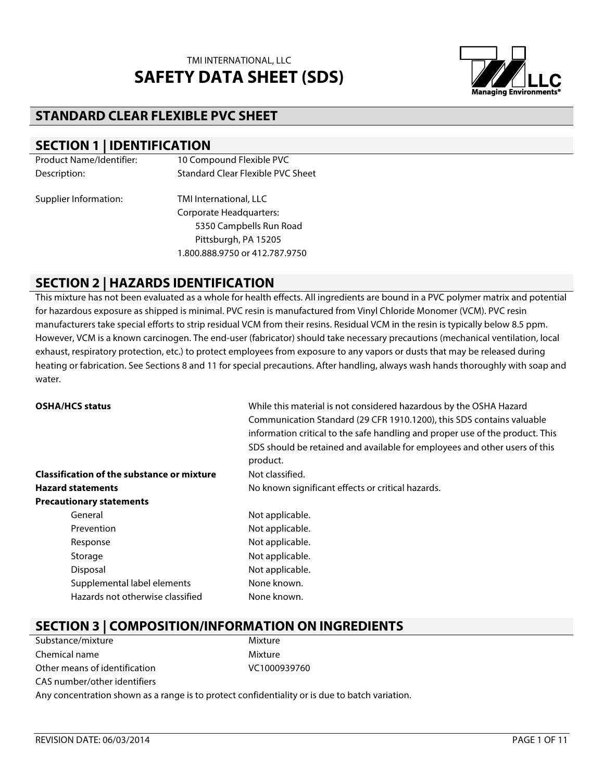

## **STANDARD CLEAR FLEXIBLE PVC SHEET**

#### **SECTION 1 | IDENTIFICATION**

| <b>Product Name/Identifier:</b> | 10 Compound Flexible PVC          |
|---------------------------------|-----------------------------------|
| Description:                    | Standard Clear Flexible PVC Sheet |
| Supplier Information:           | TMI International, LLC            |
|                                 | <b>Corporate Headquarters:</b>    |
|                                 | 5350 Campbells Run Road           |
|                                 | Pittsburgh, PA 15205              |
|                                 | 1.800.888.9750 or 412.787.9750    |

#### **SECTION 2 | HAZARDS IDENTIFICATION**

This mixture has not been evaluated as a whole for health effects. All ingredients are bound in a PVC polymer matrix and potential for hazardous exposure as shipped is minimal. PVC resin is manufactured from Vinyl Chloride Monomer (VCM). PVC resin manufacturers take special efforts to strip residual VCM from their resins. Residual VCM in the resin is typically below 8.5 ppm. However, VCM is a known carcinogen. The end-user (fabricator) should take necessary precautions (mechanical ventilation, local exhaust, respiratory protection, etc.) to protect employees from exposure to any vapors or dusts that may be released during heating or fabrication. See Sections 8 and 11 for special precautions. After handling, always wash hands thoroughly with soap and water.

| <b>OSHA/HCS status</b>                            | While this material is not considered hazardous by the OSHA Hazard<br>Communication Standard (29 CFR 1910.1200), this SDS contains valuable<br>information critical to the safe handling and proper use of the product. This<br>SDS should be retained and available for employees and other users of this<br>product. |
|---------------------------------------------------|------------------------------------------------------------------------------------------------------------------------------------------------------------------------------------------------------------------------------------------------------------------------------------------------------------------------|
| <b>Classification of the substance or mixture</b> | Not classified.                                                                                                                                                                                                                                                                                                        |
| <b>Hazard statements</b>                          | No known significant effects or critical hazards.                                                                                                                                                                                                                                                                      |
| <b>Precautionary statements</b>                   |                                                                                                                                                                                                                                                                                                                        |
| General                                           | Not applicable.                                                                                                                                                                                                                                                                                                        |
| Prevention                                        | Not applicable.                                                                                                                                                                                                                                                                                                        |
| Response                                          | Not applicable.                                                                                                                                                                                                                                                                                                        |
| Storage                                           | Not applicable.                                                                                                                                                                                                                                                                                                        |
| Disposal                                          | Not applicable.                                                                                                                                                                                                                                                                                                        |
| Supplemental label elements                       | None known.                                                                                                                                                                                                                                                                                                            |
| Hazards not otherwise classified                  | None known.                                                                                                                                                                                                                                                                                                            |

# **SECTION 3 | COMPOSITION/INFORMATION ON INGREDIENTS**

| Substance/mixture             | Mixture      |
|-------------------------------|--------------|
| Chemical name                 | Mixture      |
| Other means of identification | VC1000939760 |
| CAS number/other identifiers  |              |
|                               |              |

Any concentration shown as a range is to protect confidentiality or is due to batch variation.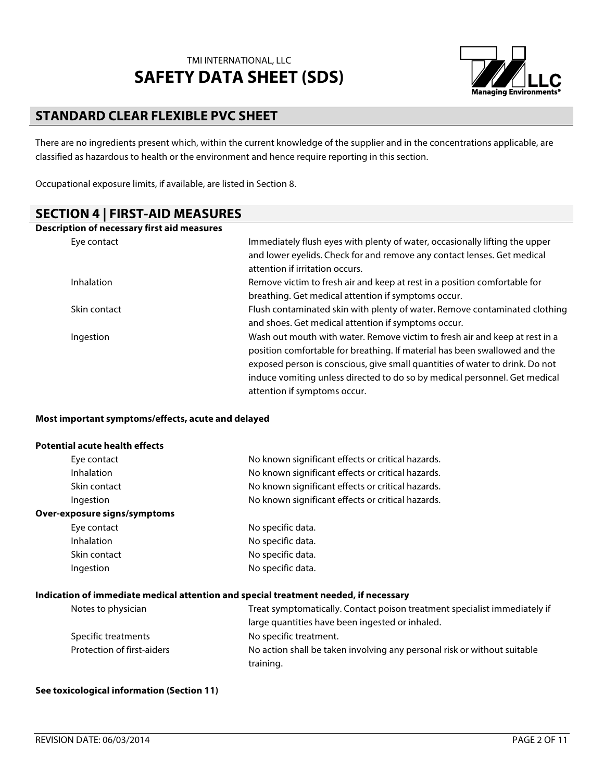

## **STANDARD CLEAR FLEXIBLE PVC SHEET**

There are no ingredients present which, within the current knowledge of the supplier and in the concentrations applicable, are classified as hazardous to health or the environment and hence require reporting in this section.

Occupational exposure limits, if available, are listed in Section 8.

## **SECTION 4 | FIRST-AID MEASURES**

| Description of necessary first aid measures |                                                                              |
|---------------------------------------------|------------------------------------------------------------------------------|
| Eye contact                                 | Immediately flush eyes with plenty of water, occasionally lifting the upper  |
|                                             | and lower eyelids. Check for and remove any contact lenses. Get medical      |
|                                             | attention if irritation occurs.                                              |
| <b>Inhalation</b>                           | Remove victim to fresh air and keep at rest in a position comfortable for    |
|                                             | breathing. Get medical attention if symptoms occur.                          |
| Skin contact                                | Flush contaminated skin with plenty of water. Remove contaminated clothing   |
|                                             | and shoes. Get medical attention if symptoms occur.                          |
| Ingestion                                   | Wash out mouth with water. Remove victim to fresh air and keep at rest in a  |
|                                             | position comfortable for breathing. If material has been swallowed and the   |
|                                             | exposed person is conscious, give small quantities of water to drink. Do not |
|                                             | induce vomiting unless directed to do so by medical personnel. Get medical   |
|                                             | attention if symptoms occur.                                                 |

#### **Most important symptoms/effects, acute and delayed**

#### **Potential acute health effects**

| Eye contact                  | No known significant effects or critical hazards. |
|------------------------------|---------------------------------------------------|
| <b>Inhalation</b>            | No known significant effects or critical hazards. |
| Skin contact                 | No known significant effects or critical hazards. |
| Ingestion                    | No known significant effects or critical hazards. |
| Over-exposure signs/symptoms |                                                   |
| Eye contact                  | No specific data.                                 |
| <b>Inhalation</b>            | No specific data.                                 |
| Skin contact                 | No specific data.                                 |
| Ingestion                    | No specific data.                                 |
|                              |                                                   |

#### **Indication of immediate medical attention and special treatment needed, if necessary**

| Notes to physician         | Treat symptomatically. Contact poison treatment specialist immediately if |
|----------------------------|---------------------------------------------------------------------------|
|                            | large quantities have been ingested or inhaled.                           |
| Specific treatments        | No specific treatment.                                                    |
| Protection of first-aiders | No action shall be taken involving any personal risk or without suitable  |
|                            | training.                                                                 |

#### **See toxicological information (Section 11)**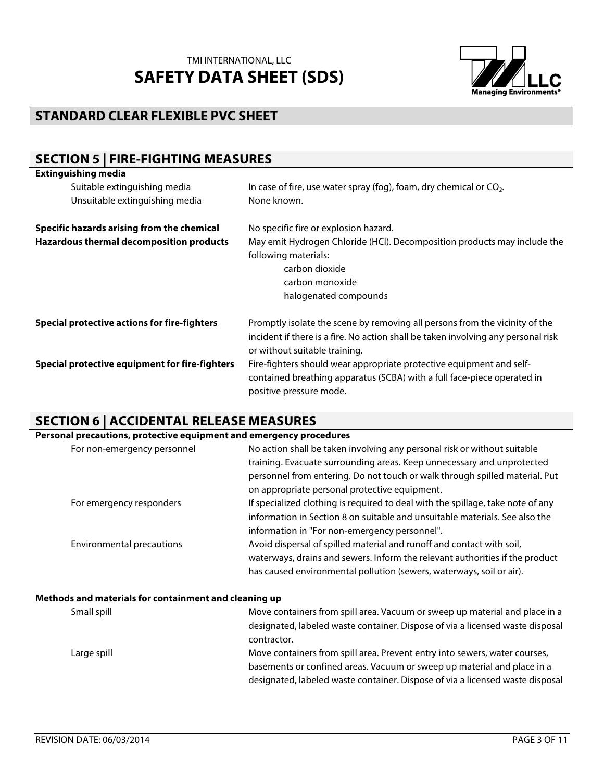

# **STANDARD CLEAR FLEXIBLE PVC SHEET**

# **SECTION 5 | FIRE-FIGHTING MEASURES**

| <b>Extinguishing media</b>                     |                                                                                                                                                                                                   |
|------------------------------------------------|---------------------------------------------------------------------------------------------------------------------------------------------------------------------------------------------------|
| Suitable extinguishing media                   | In case of fire, use water spray (fog), foam, dry chemical or $CO2$ .                                                                                                                             |
| Unsuitable extinguishing media                 | None known.                                                                                                                                                                                       |
| Specific hazards arising from the chemical     | No specific fire or explosion hazard.                                                                                                                                                             |
| Hazardous thermal decomposition products       | May emit Hydrogen Chloride (HCl). Decomposition products may include the<br>following materials:<br>carbon dioxide<br>carbon monoxide<br>halogenated compounds                                    |
| Special protective actions for fire-fighters   | Promptly isolate the scene by removing all persons from the vicinity of the<br>incident if there is a fire. No action shall be taken involving any personal risk<br>or without suitable training. |
| Special protective equipment for fire-fighters | Fire-fighters should wear appropriate protective equipment and self-<br>contained breathing apparatus (SCBA) with a full face-piece operated in<br>positive pressure mode.                        |

# **SECTION 6 | ACCIDENTAL RELEASE MEASURES**

| Personal precautions, protective equipment and emergency procedures |                                                                                 |
|---------------------------------------------------------------------|---------------------------------------------------------------------------------|
| For non-emergency personnel                                         | No action shall be taken involving any personal risk or without suitable        |
|                                                                     | training. Evacuate surrounding areas. Keep unnecessary and unprotected          |
|                                                                     | personnel from entering. Do not touch or walk through spilled material. Put     |
|                                                                     | on appropriate personal protective equipment.                                   |
| For emergency responders                                            | If specialized clothing is required to deal with the spillage, take note of any |
|                                                                     | information in Section 8 on suitable and unsuitable materials. See also the     |
|                                                                     | information in "For non-emergency personnel".                                   |
| <b>Environmental precautions</b>                                    | Avoid dispersal of spilled material and runoff and contact with soil,           |
|                                                                     | waterways, drains and sewers. Inform the relevant authorities if the product    |
|                                                                     | has caused environmental pollution (sewers, waterways, soil or air).            |

#### **Methods and materials for containment and cleaning up**

| Small spill | Move containers from spill area. Vacuum or sweep up material and place in a   |
|-------------|-------------------------------------------------------------------------------|
|             | designated, labeled waste container. Dispose of via a licensed waste disposal |
|             | contractor.                                                                   |
| Large spill | Move containers from spill area. Prevent entry into sewers, water courses,    |
|             | basements or confined areas. Vacuum or sweep up material and place in a       |
|             | designated, labeled waste container. Dispose of via a licensed waste disposal |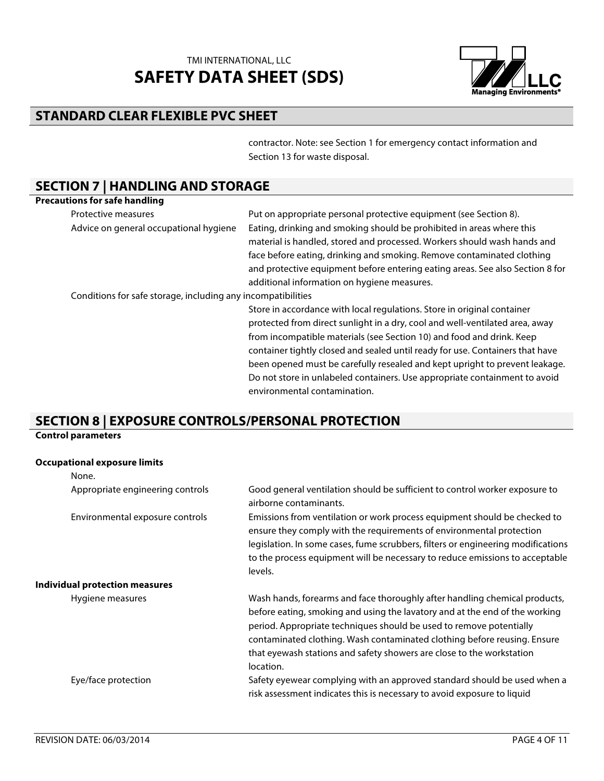

# **STANDARD CLEAR FLEXIBLE PVC SHEET**

contractor. Note: see Section 1 for emergency contact information and Section 13 for waste disposal.

# **SECTION 7 | HANDLING AND STORAGE**

| <b>Precautions for safe handling</b>                         |                                                                                                                                                                                                                                                                                                                                                                                                                                                                                                                |
|--------------------------------------------------------------|----------------------------------------------------------------------------------------------------------------------------------------------------------------------------------------------------------------------------------------------------------------------------------------------------------------------------------------------------------------------------------------------------------------------------------------------------------------------------------------------------------------|
| Protective measures                                          | Put on appropriate personal protective equipment (see Section 8).                                                                                                                                                                                                                                                                                                                                                                                                                                              |
| Advice on general occupational hygiene                       | Eating, drinking and smoking should be prohibited in areas where this<br>material is handled, stored and processed. Workers should wash hands and<br>face before eating, drinking and smoking. Remove contaminated clothing<br>and protective equipment before entering eating areas. See also Section 8 for<br>additional information on hygiene measures.                                                                                                                                                    |
| Conditions for safe storage, including any incompatibilities |                                                                                                                                                                                                                                                                                                                                                                                                                                                                                                                |
|                                                              | Store in accordance with local regulations. Store in original container<br>protected from direct sunlight in a dry, cool and well-ventilated area, away<br>from incompatible materials (see Section 10) and food and drink. Keep<br>container tightly closed and sealed until ready for use. Containers that have<br>been opened must be carefully resealed and kept upright to prevent leakage.<br>Do not store in unlabeled containers. Use appropriate containment to avoid<br>environmental contamination. |

## **SECTION 8 | EXPOSURE CONTROLS/PERSONAL PROTECTION**

#### **Control parameters**

#### **Occupational exposure limits**

| None.                                 |                                                                                                                                                                                                                                                                                                                                                                                                    |
|---------------------------------------|----------------------------------------------------------------------------------------------------------------------------------------------------------------------------------------------------------------------------------------------------------------------------------------------------------------------------------------------------------------------------------------------------|
| Appropriate engineering controls      | Good general ventilation should be sufficient to control worker exposure to<br>airborne contaminants.                                                                                                                                                                                                                                                                                              |
| Environmental exposure controls       | Emissions from ventilation or work process equipment should be checked to<br>ensure they comply with the requirements of environmental protection<br>legislation. In some cases, fume scrubbers, filters or engineering modifications<br>to the process equipment will be necessary to reduce emissions to acceptable<br>levels.                                                                   |
| <b>Individual protection measures</b> |                                                                                                                                                                                                                                                                                                                                                                                                    |
| Hygiene measures                      | Wash hands, forearms and face thoroughly after handling chemical products,<br>before eating, smoking and using the lavatory and at the end of the working<br>period. Appropriate techniques should be used to remove potentially<br>contaminated clothing. Wash contaminated clothing before reusing. Ensure<br>that eyewash stations and safety showers are close to the workstation<br>location. |
| Eye/face protection                   | Safety eyewear complying with an approved standard should be used when a<br>risk assessment indicates this is necessary to avoid exposure to liquid                                                                                                                                                                                                                                                |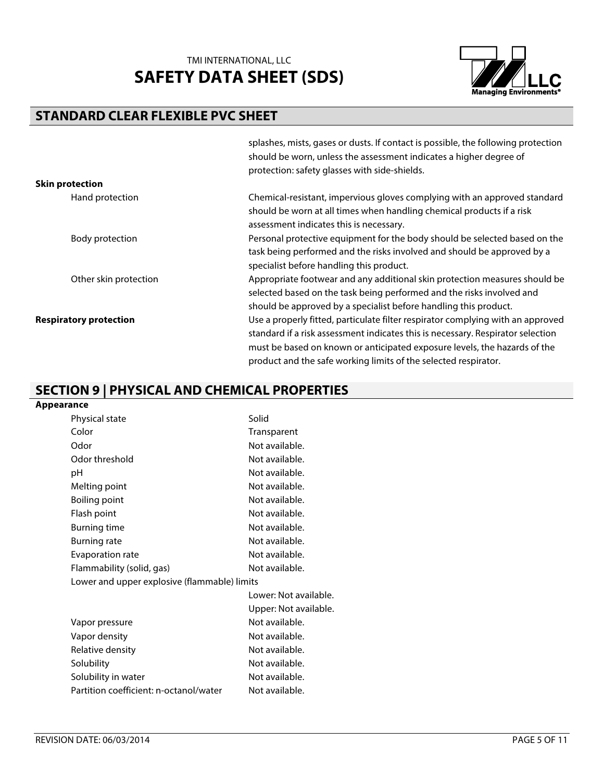

# **STANDARD CLEAR FLEXIBLE PVC SHEET**

|                               | splashes, mists, gases or dusts. If contact is possible, the following protection<br>should be worn, unless the assessment indicates a higher degree of<br>protection: safety glasses with side-shields.                                                                                                           |
|-------------------------------|--------------------------------------------------------------------------------------------------------------------------------------------------------------------------------------------------------------------------------------------------------------------------------------------------------------------|
| <b>Skin protection</b>        |                                                                                                                                                                                                                                                                                                                    |
| Hand protection               | Chemical-resistant, impervious gloves complying with an approved standard<br>should be worn at all times when handling chemical products if a risk<br>assessment indicates this is necessary.                                                                                                                      |
| Body protection               | Personal protective equipment for the body should be selected based on the<br>task being performed and the risks involved and should be approved by a<br>specialist before handling this product.                                                                                                                  |
| Other skin protection         | Appropriate footwear and any additional skin protection measures should be<br>selected based on the task being performed and the risks involved and<br>should be approved by a specialist before handling this product.                                                                                            |
| <b>Respiratory protection</b> | Use a properly fitted, particulate filter respirator complying with an approved<br>standard if a risk assessment indicates this is necessary. Respirator selection<br>must be based on known or anticipated exposure levels, the hazards of the<br>product and the safe working limits of the selected respirator. |

## **SECTION 9 | PHYSICAL AND CHEMICAL PROPERTIES**

| <b>Appearance</b> |                                              |                       |
|-------------------|----------------------------------------------|-----------------------|
|                   | Physical state                               | Solid                 |
|                   | Color                                        | Transparent           |
|                   | Odor                                         | Not available.        |
|                   | Odor threshold                               | Not available.        |
| рH                |                                              | Not available.        |
|                   | Melting point                                | Not available.        |
|                   | <b>Boiling point</b>                         | Not available.        |
|                   | Flash point                                  | Not available.        |
|                   | <b>Burning time</b>                          | Not available.        |
|                   | <b>Burning rate</b>                          | Not available.        |
|                   | Evaporation rate                             | Not available.        |
|                   | Flammability (solid, gas)                    | Not available.        |
|                   | Lower and upper explosive (flammable) limits |                       |
|                   |                                              | Lower: Not available. |
|                   |                                              | Upper: Not available. |
|                   | Vapor pressure                               | Not available.        |
|                   | Vapor density                                | Not available.        |
|                   | Relative density                             | Not available.        |
|                   | Solubility                                   | Not available.        |
|                   | Solubility in water                          | Not available.        |
|                   | Partition coefficient: n-octanol/water       | Not available.        |
|                   |                                              |                       |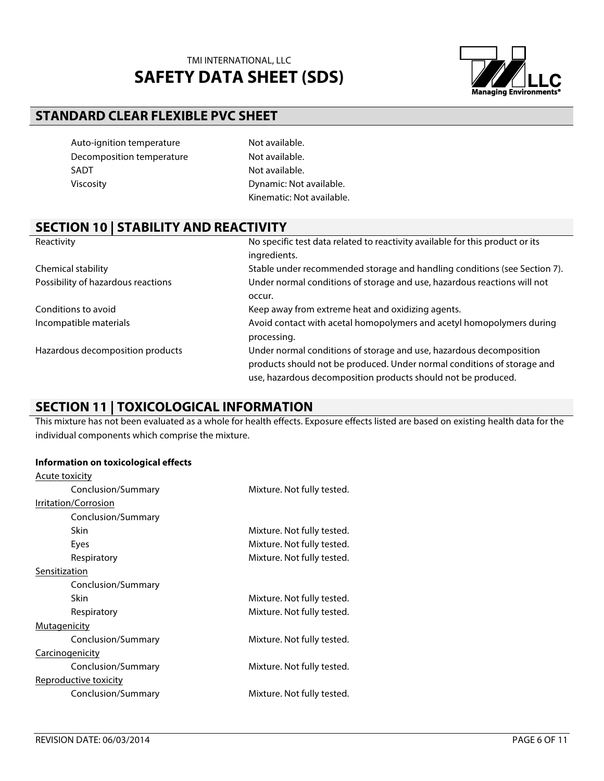

# **STANDARD CLEAR FLEXIBLE PVC SHEET**

| Auto-ignition temperature |
|---------------------------|
| Decomposition temperature |
| SADT                      |
| Viscosity                 |

Not available. Not available. Not available. Dynamic: Not available. Kinematic: Not available.

## **SECTION 10 | STABILITY AND REACTIVITY**

| Reactivity                         | No specific test data related to reactivity available for this product or its |
|------------------------------------|-------------------------------------------------------------------------------|
|                                    | ingredients.                                                                  |
| Chemical stability                 | Stable under recommended storage and handling conditions (see Section 7).     |
| Possibility of hazardous reactions | Under normal conditions of storage and use, hazardous reactions will not      |
|                                    | occur.                                                                        |
| Conditions to avoid                | Keep away from extreme heat and oxidizing agents.                             |
| Incompatible materials             | Avoid contact with acetal homopolymers and acetyl homopolymers during         |
|                                    | processing.                                                                   |
| Hazardous decomposition products   | Under normal conditions of storage and use, hazardous decomposition           |
|                                    | products should not be produced. Under normal conditions of storage and       |
|                                    | use, hazardous decomposition products should not be produced.                 |

#### **SECTION 11 | TOXICOLOGICAL INFORMATION**

This mixture has not been evaluated as a whole for health effects. Exposure effects listed are based on existing health data for the individual components which comprise the mixture.

#### **Information on toxicological effects**

| <u>Acute toxicity</u>        |                            |
|------------------------------|----------------------------|
| Conclusion/Summary           | Mixture. Not fully tested. |
| Irritation/Corrosion         |                            |
| Conclusion/Summary           |                            |
| Skin                         | Mixture. Not fully tested. |
| Eyes                         | Mixture. Not fully tested. |
| Respiratory                  | Mixture. Not fully tested. |
| Sensitization                |                            |
| Conclusion/Summary           |                            |
| <b>Skin</b>                  | Mixture. Not fully tested. |
| Respiratory                  | Mixture. Not fully tested. |
| <b>Mutagenicity</b>          |                            |
| Conclusion/Summary           | Mixture. Not fully tested. |
| <b>Carcinogenicity</b>       |                            |
| Conclusion/Summary           | Mixture. Not fully tested. |
| <u>Reproductive toxicity</u> |                            |
| Conclusion/Summary           | Mixture. Not fully tested. |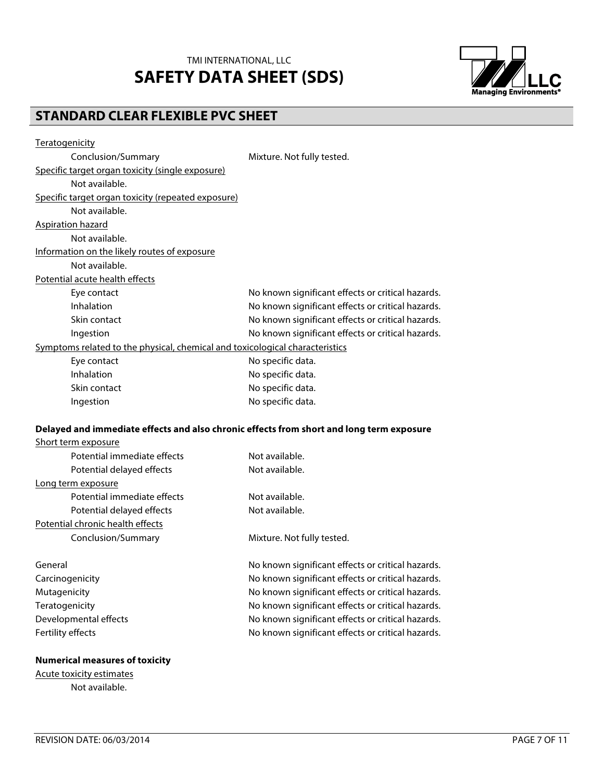

# **STANDARD CLEAR FLEXIBLE PVC SHEET**

| <b>Teratogenicity</b>                                                                    |                                                   |
|------------------------------------------------------------------------------------------|---------------------------------------------------|
| Conclusion/Summary                                                                       | Mixture. Not fully tested.                        |
| Specific target organ toxicity (single exposure)                                         |                                                   |
| Not available.                                                                           |                                                   |
| Specific target organ toxicity (repeated exposure)                                       |                                                   |
| Not available.                                                                           |                                                   |
| <b>Aspiration hazard</b>                                                                 |                                                   |
| Not available.                                                                           |                                                   |
| Information on the likely routes of exposure                                             |                                                   |
| Not available.                                                                           |                                                   |
| Potential acute health effects                                                           |                                                   |
| Eye contact                                                                              | No known significant effects or critical hazards. |
| Inhalation                                                                               | No known significant effects or critical hazards. |
| Skin contact                                                                             | No known significant effects or critical hazards. |
| Ingestion                                                                                | No known significant effects or critical hazards. |
| Symptoms related to the physical, chemical and toxicological characteristics             |                                                   |
| Eye contact                                                                              | No specific data.                                 |
| Inhalation                                                                               | No specific data.                                 |
| Skin contact                                                                             | No specific data.                                 |
| Ingestion                                                                                | No specific data.                                 |
|                                                                                          |                                                   |
| Delayed and immediate effects and also chronic effects from short and long term exposure |                                                   |
| Short term exposure                                                                      |                                                   |
| Potential immediate effects                                                              | Not available.                                    |
| Potential delayed effects                                                                | Not available.                                    |
| Long term exposure                                                                       |                                                   |
| Potential immediate effects                                                              | Not available.                                    |
| Potential delayed effects                                                                | Not available.                                    |
| Potential chronic health effects                                                         |                                                   |
| Conclusion/Summary                                                                       | Mixture. Not fully tested.                        |
| General                                                                                  | No known significant effects or critical hazards. |
| Carcinogenicity                                                                          | No known significant effects or critical hazards. |
| Mutagenicity                                                                             | No known significant effects or critical hazards. |
| Teratogenicity                                                                           | No known significant effects or critical hazards. |
| Developmental effects                                                                    | No known significant effects or critical hazards. |
| Fertility effects                                                                        | No known significant effects or critical hazards. |
| <b>Numerical measures of toxicity</b>                                                    |                                                   |
|                                                                                          |                                                   |

Acute toxicity estimates Not available.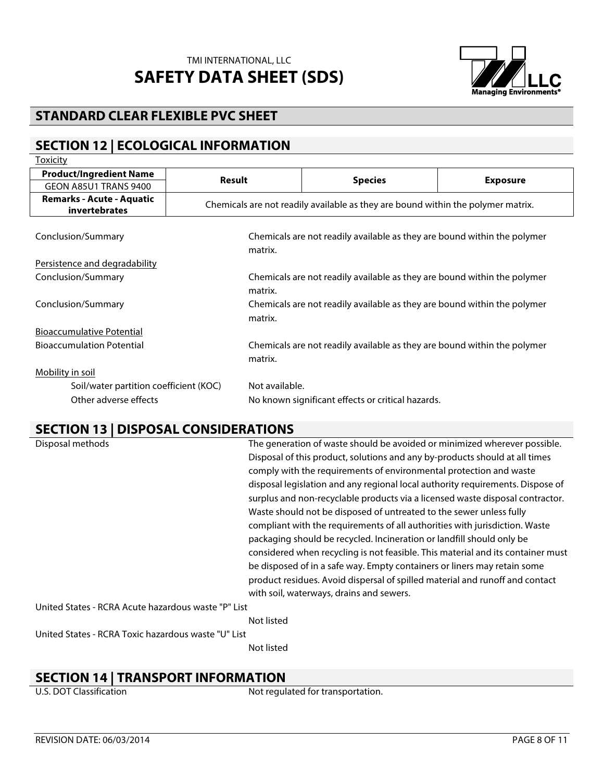

# **STANDARD CLEAR FLEXIBLE PVC SHEET**

# **SECTION 12 | ECOLOGICAL INFORMATION**

| <b>Toxicity</b>                                   |                                                                                     |                                                                          |                 |
|---------------------------------------------------|-------------------------------------------------------------------------------------|--------------------------------------------------------------------------|-----------------|
| <b>Product/Ingredient Name</b>                    |                                                                                     |                                                                          |                 |
| GEON A85U1 TRANS 9400                             | Result                                                                              | <b>Species</b>                                                           | <b>Exposure</b> |
| <b>Remarks - Acute - Aquatic</b><br>invertebrates | Chemicals are not readily available as they are bound within the polymer matrix.    |                                                                          |                 |
| Conclusion/Summary                                | Chemicals are not readily available as they are bound within the polymer<br>matrix. |                                                                          |                 |
| Persistence and degradability                     |                                                                                     |                                                                          |                 |
| Conclusion/Summary                                |                                                                                     | Chemicals are not readily available as they are bound within the polymer |                 |
|                                                   | matrix.                                                                             |                                                                          |                 |
| Conclusion/Summary                                |                                                                                     | Chemicals are not readily available as they are bound within the polymer |                 |
|                                                   | matrix.                                                                             |                                                                          |                 |
| <b>Bioaccumulative Potential</b>                  |                                                                                     |                                                                          |                 |
| <b>Bioaccumulation Potential</b>                  |                                                                                     | Chemicals are not readily available as they are bound within the polymer |                 |
|                                                   | matrix.                                                                             |                                                                          |                 |
| Mobility in soil                                  |                                                                                     |                                                                          |                 |
| Soil/water partition coefficient (KOC)            | Not available.                                                                      |                                                                          |                 |
| Other adverse effects                             |                                                                                     | No known significant effects or critical hazards.                        |                 |

#### **SECTION 13 | DISPOSAL CONSIDERATIONS**

| Disposal methods |                                                     | The generation of waste should be avoided or minimized wherever possible.       |
|------------------|-----------------------------------------------------|---------------------------------------------------------------------------------|
|                  |                                                     | Disposal of this product, solutions and any by-products should at all times     |
|                  |                                                     | comply with the requirements of environmental protection and waste              |
|                  |                                                     | disposal legislation and any regional local authority requirements. Dispose of  |
|                  |                                                     | surplus and non-recyclable products via a licensed waste disposal contractor.   |
|                  |                                                     | Waste should not be disposed of untreated to the sewer unless fully             |
|                  |                                                     | compliant with the requirements of all authorities with jurisdiction. Waste     |
|                  |                                                     | packaging should be recycled. Incineration or landfill should only be           |
|                  |                                                     | considered when recycling is not feasible. This material and its container must |
|                  |                                                     | be disposed of in a safe way. Empty containers or liners may retain some        |
|                  |                                                     | product residues. Avoid dispersal of spilled material and runoff and contact    |
|                  |                                                     | with soil, waterways, drains and sewers.                                        |
|                  | United States - RCRA Acute hazardous waste "P" List |                                                                                 |
|                  |                                                     | Not listed                                                                      |
|                  | United States - RCRA Toxic hazardous waste "U" List |                                                                                 |
|                  |                                                     | Not listed                                                                      |

# **SECTION 14 | TRANSPORT INFORMATION**<br>U.S. DOT Classification Mot regul

Not regulated for transportation.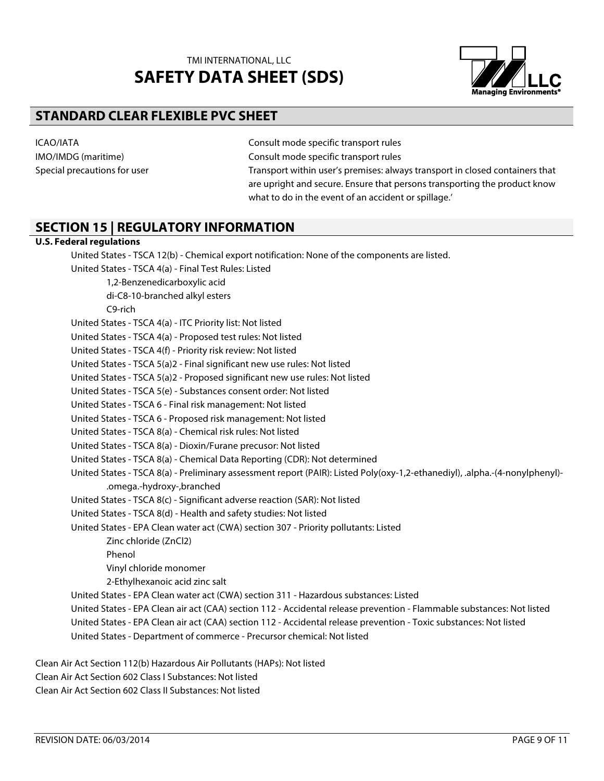

## **STANDARD CLEAR FLEXIBLE PVC SHEET**

IMO/IMDG (maritime) Consult mode specific transport rules

ICAO/IATA Consult mode specific transport rules

Special precautions for user Transport within user's premises: always transport in closed containers that are upright and secure. Ensure that persons transporting the product know what to do in the event of an accident or spillage.'

## **SECTION 15 | REGULATORY INFORMATION**

#### **U.S. Federal regulations**

United States - TSCA 12(b) - Chemical export notification: None of the components are listed.

United States - TSCA 4(a) - Final Test Rules: Listed

1,2-Benzenedicarboxylic acid

di-C8-10-branched alkyl esters

C9-rich

United States - TSCA 4(a) - ITC Priority list: Not listed

United States - TSCA 4(a) - Proposed test rules: Not listed

United States - TSCA 4(f) - Priority risk review: Not listed

United States - TSCA 5(a)2 - Final significant new use rules: Not listed

United States - TSCA 5(a)2 - Proposed significant new use rules: Not listed

United States - TSCA 5(e) - Substances consent order: Not listed

United States - TSCA 6 - Final risk management: Not listed

United States - TSCA 6 - Proposed risk management: Not listed

United States - TSCA 8(a) - Chemical risk rules: Not listed

United States - TSCA 8(a) - Dioxin/Furane precusor: Not listed

United States - TSCA 8(a) - Chemical Data Reporting (CDR): Not determined

United States - TSCA 8(a) - Preliminary assessment report (PAIR): Listed Poly(oxy-1,2-ethanediyl), .alpha.-(4-nonylphenyl)- .omega.-hydroxy-,branched

United States - TSCA 8(c) - Significant adverse reaction (SAR): Not listed

United States - TSCA 8(d) - Health and safety studies: Not listed

United States - EPA Clean water act (CWA) section 307 - Priority pollutants: Listed

Zinc chloride (ZnCl2)

Phenol

Vinyl chloride monomer

2-Ethylhexanoic acid zinc salt

United States - EPA Clean water act (CWA) section 311 - Hazardous substances: Listed

United States - EPA Clean air act (CAA) section 112 - Accidental release prevention - Flammable substances: Not listed

United States - EPA Clean air act (CAA) section 112 - Accidental release prevention - Toxic substances: Not listed

United States - Department of commerce - Precursor chemical: Not listed

Clean Air Act Section 112(b) Hazardous Air Pollutants (HAPs): Not listed

Clean Air Act Section 602 Class I Substances: Not listed

Clean Air Act Section 602 Class II Substances: Not listed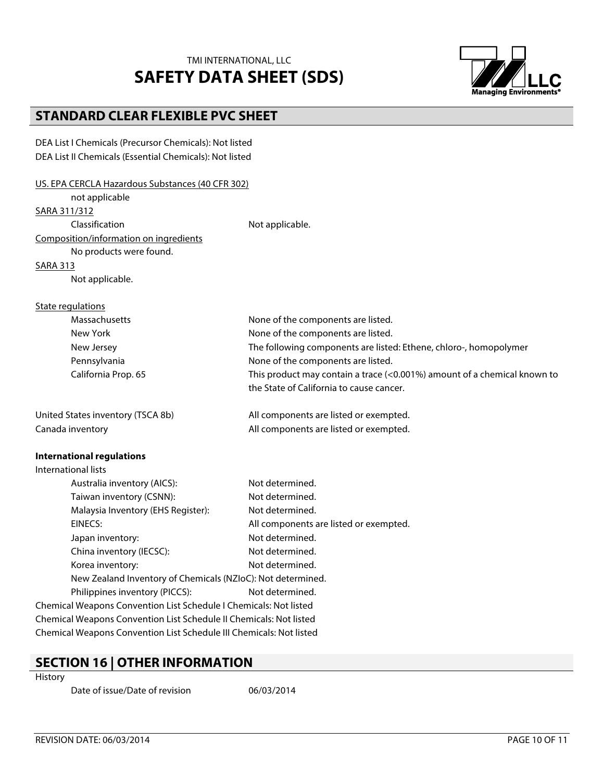

# **STANDARD CLEAR FLEXIBLE PVC SHEET**

DEA List I Chemicals (Precursor Chemicals): Not listed DEA List II Chemicals (Essential Chemicals): Not listed

| US. EPA CERCLA Hazardous Substances (40 CFR 302)                    |                                                                          |  |  |
|---------------------------------------------------------------------|--------------------------------------------------------------------------|--|--|
| not applicable                                                      |                                                                          |  |  |
| SARA 311/312                                                        |                                                                          |  |  |
| Classification                                                      | Not applicable.                                                          |  |  |
| Composition/information on ingredients                              |                                                                          |  |  |
| No products were found.                                             |                                                                          |  |  |
| <b>SARA 313</b>                                                     |                                                                          |  |  |
| Not applicable.                                                     |                                                                          |  |  |
| State regulations                                                   |                                                                          |  |  |
| Massachusetts                                                       | None of the components are listed.                                       |  |  |
| New York                                                            | None of the components are listed.                                       |  |  |
| New Jersey                                                          | The following components are listed: Ethene, chloro-, homopolymer        |  |  |
| Pennsylvania                                                        | None of the components are listed.                                       |  |  |
| California Prop. 65                                                 | This product may contain a trace (<0.001%) amount of a chemical known to |  |  |
|                                                                     | the State of California to cause cancer.                                 |  |  |
| United States inventory (TSCA 8b)                                   | All components are listed or exempted.                                   |  |  |
| Canada inventory                                                    | All components are listed or exempted.                                   |  |  |
| <b>International regulations</b>                                    |                                                                          |  |  |
| <b>International lists</b>                                          |                                                                          |  |  |
| Australia inventory (AICS):                                         | Not determined.                                                          |  |  |
| Taiwan inventory (CSNN):                                            | Not determined.                                                          |  |  |
| Malaysia Inventory (EHS Register):                                  | Not determined.                                                          |  |  |
| EINECS:                                                             | All components are listed or exempted.                                   |  |  |
| Japan inventory:                                                    | Not determined.                                                          |  |  |
| China inventory (IECSC):                                            | Not determined.                                                          |  |  |
| Korea inventory:                                                    | Not determined.                                                          |  |  |
| New Zealand Inventory of Chemicals (NZIoC): Not determined.         |                                                                          |  |  |
| Philippines inventory (PICCS):<br>Not determined.                   |                                                                          |  |  |
| Chemical Weapons Convention List Schedule I Chemicals: Not listed   |                                                                          |  |  |
| Chemical Weapons Convention List Schedule II Chemicals: Not listed  |                                                                          |  |  |
| Chemical Weapons Convention List Schedule III Chemicals: Not listed |                                                                          |  |  |
|                                                                     |                                                                          |  |  |

### **SECTION 16 | OTHER INFORMATION**

History

Date of issue/Date of revision 06/03/2014